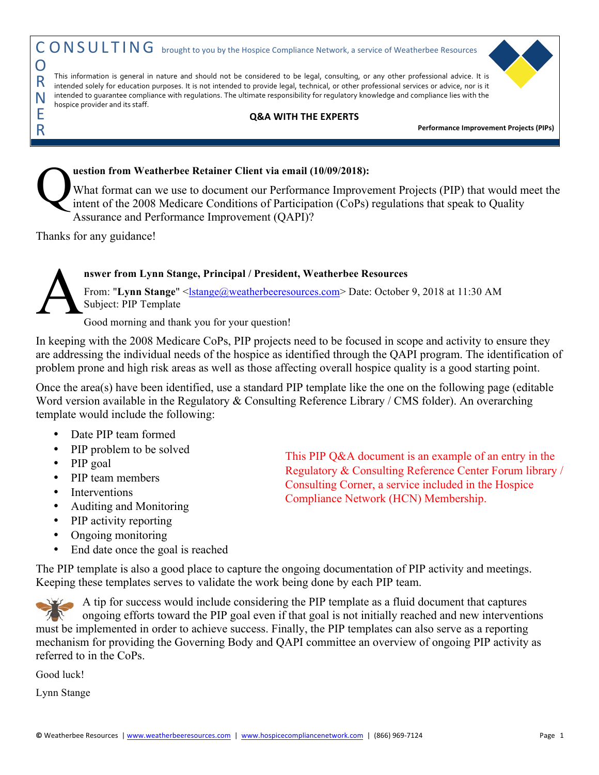## **uestion from Weatherbee Retainer Client via email (10/09/2018):**  What format can we use to document our Performance Improvement Projects (PIP) that would meet the intent of the 2008 Medicare Conditions of Participation (CoPs) regulations that speak to Quality Assurance and Performance Improvement (QAPI)?  $\mathbf{Q}^{\text{\tiny{ue}}}_{\text{\tiny{int}}}$

Thanks for any guidance!

## **nswer from Lynn Stange, Principal / President, Weatherbee Resources**

From: "**Lynn Stange**" <*Istange@weatherbeeresources.com>* Date: October 9, 2018 at 11:30 AM Subject: PIP Template A

Good morning and thank you for your question!

In keeping with the 2008 Medicare CoPs, PIP projects need to be focused in scope and activity to ensure they are addressing the individual needs of the hospice as identified through the QAPI program. The identification of problem prone and high risk areas as well as those affecting overall hospice quality is a good starting point.

Once the area(s) have been identified, use a standard PIP template like the one on the following page (editable Word version available in the Regulatory & Consulting Reference Library / CMS folder). An overarching template would include the following:

- Date PIP team formed
- PIP problem to be solved
- PIP goal
- PIP team members
- Interventions
- Auditing and Monitoring
- PIP activity reporting
- Ongoing monitoring
- End date once the goal is reached

This PIP Q&A document is an example of an entry in the Regulatory & Consulting Reference Center Forum library / Consulting Corner, a service included in the Hospice Compliance Network (HCN) Membership.

The PIP template is also a good place to capture the ongoing documentation of PIP activity and meetings. Keeping these templates serves to validate the work being done by each PIP team.

A tip for success would include considering the PIP template as a fluid document that captures ongoing efforts toward the PIP goal even if that goal is not initially reached and new interventions must be implemented in order to achieve success. Finally, the PIP templates can also serve as a reporting mechanism for providing the Governing Body and QAPI committee an overview of ongoing PIP activity as referred to in the CoPs.

Good luck!

Lynn Stange